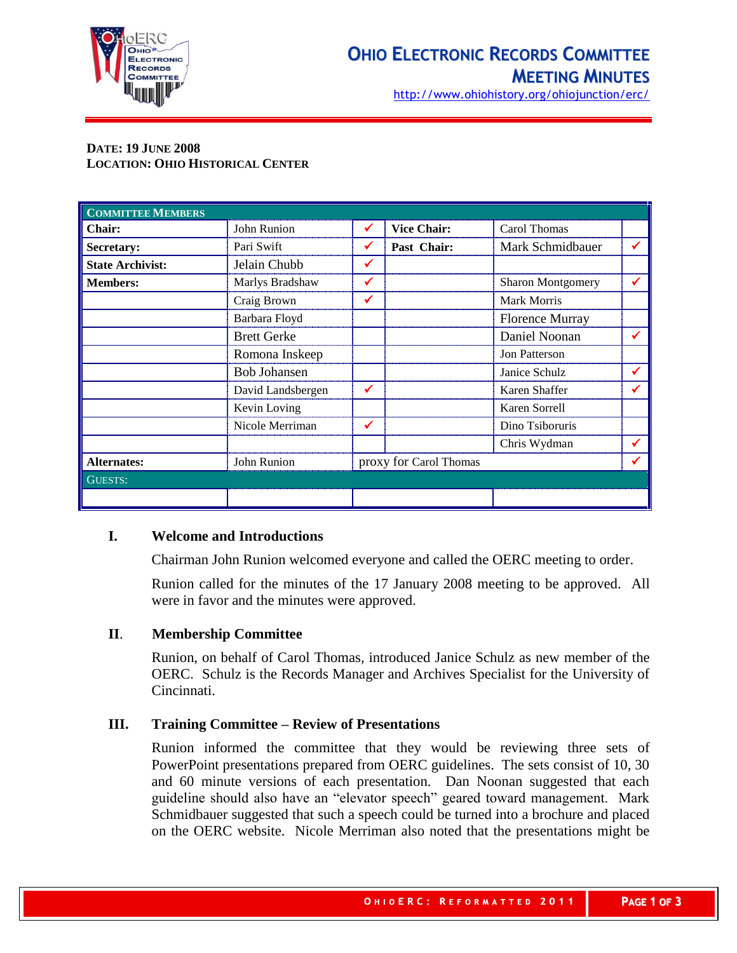

http://www.ohiohistory.org/ohiojunction/erc/

# **DATE: 19 JUNE 2008 LOCATION: OHIO HISTORICAL CENTER**

| <b>COMMITTEE MEMBERS</b> |                     |   |                        |                          |  |
|--------------------------|---------------------|---|------------------------|--------------------------|--|
| Chair:                   | John Runion         | ✔ | <b>Vice Chair:</b>     | Carol Thomas             |  |
| <b>Secretary:</b>        | Pari Swift          | ✔ | Past Chair:            | Mark Schmidbauer         |  |
| <b>State Archivist:</b>  | Jelain Chubb        | ✔ |                        |                          |  |
| <b>Members:</b>          | Marlys Bradshaw     |   |                        | <b>Sharon Montgomery</b> |  |
|                          | Craig Brown         |   |                        | <b>Mark Morris</b>       |  |
|                          | Barbara Floyd       |   |                        | <b>Florence Murray</b>   |  |
|                          | <b>Brett Gerke</b>  |   |                        | Daniel Noonan            |  |
|                          | Romona Inskeep      |   |                        | Jon Patterson            |  |
|                          | <b>Bob Johansen</b> |   |                        | Janice Schulz            |  |
|                          | David Landsbergen   |   |                        | Karen Shaffer            |  |
|                          | Kevin Loving        |   |                        | Karen Sorrell            |  |
|                          | Nicole Merriman     | ✓ |                        | Dino Tsiboruris          |  |
|                          |                     |   |                        | Chris Wydman             |  |
| <b>Alternates:</b>       | John Runion         |   | proxy for Carol Thomas |                          |  |
| GUESTS:                  |                     |   |                        |                          |  |
|                          |                     |   |                        |                          |  |

### **I. Welcome and Introductions**

Chairman John Runion welcomed everyone and called the OERC meeting to order.

Runion called for the minutes of the 17 January 2008 meeting to be approved. All were in favor and the minutes were approved.

### **II**. **Membership Committee**

Runion, on behalf of Carol Thomas, introduced Janice Schulz as new member of the OERC. Schulz is the Records Manager and Archives Specialist for the University of Cincinnati.

### **III. Training Committee – Review of Presentations**

Runion informed the committee that they would be reviewing three sets of PowerPoint presentations prepared from OERC guidelines. The sets consist of 10, 30 and 60 minute versions of each presentation. Dan Noonan suggested that each guideline should also have an "elevator speech" geared toward management. Mark Schmidbauer suggested that such a speech could be turned into a brochure and placed on the OERC website. Nicole Merriman also noted that the presentations might be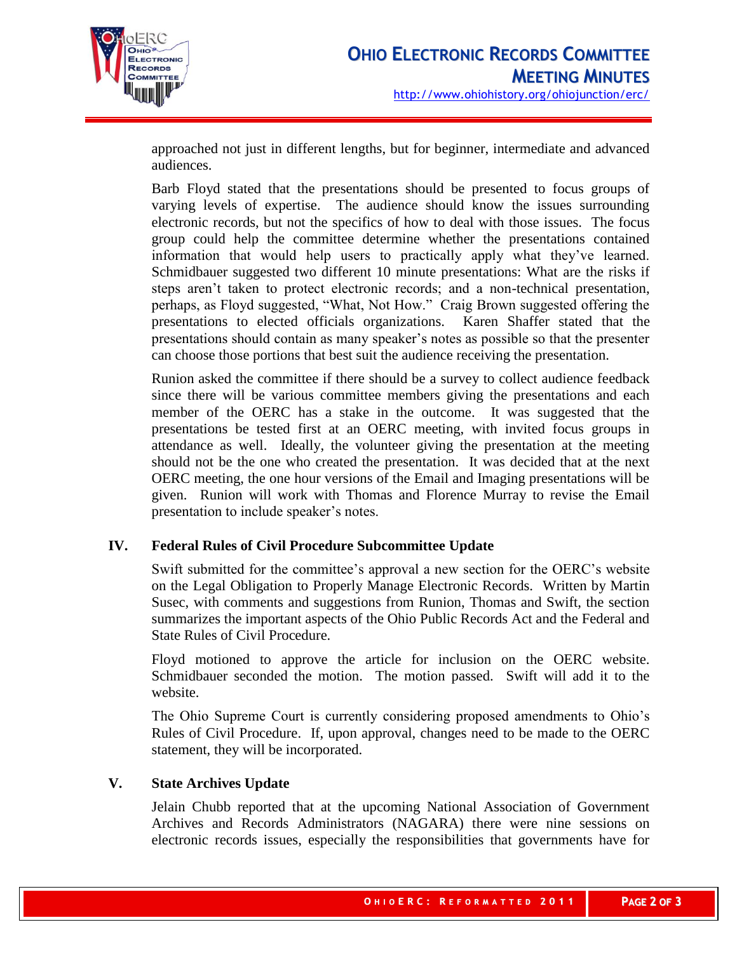

approached not just in different lengths, but for beginner, intermediate and advanced audiences.

Barb Floyd stated that the presentations should be presented to focus groups of varying levels of expertise. The audience should know the issues surrounding electronic records, but not the specifics of how to deal with those issues. The focus group could help the committee determine whether the presentations contained information that would help users to practically apply what they've learned. Schmidbauer suggested two different 10 minute presentations: What are the risks if steps aren't taken to protect electronic records; and a non-technical presentation, perhaps, as Floyd suggested, "What, Not How." Craig Brown suggested offering the presentations to elected officials organizations. Karen Shaffer stated that the presentations should contain as many speaker's notes as possible so that the presenter can choose those portions that best suit the audience receiving the presentation.

Runion asked the committee if there should be a survey to collect audience feedback since there will be various committee members giving the presentations and each member of the OERC has a stake in the outcome. It was suggested that the presentations be tested first at an OERC meeting, with invited focus groups in attendance as well. Ideally, the volunteer giving the presentation at the meeting should not be the one who created the presentation. It was decided that at the next OERC meeting, the one hour versions of the Email and Imaging presentations will be given. Runion will work with Thomas and Florence Murray to revise the Email presentation to include speaker's notes.

### **IV. Federal Rules of Civil Procedure Subcommittee Update**

Swift submitted for the committee's approval a new section for the OERC's website on the Legal Obligation to Properly Manage Electronic Records. Written by Martin Susec, with comments and suggestions from Runion, Thomas and Swift, the section summarizes the important aspects of the Ohio Public Records Act and the Federal and State Rules of Civil Procedure.

Floyd motioned to approve the article for inclusion on the OERC website. Schmidbauer seconded the motion. The motion passed. Swift will add it to the website.

The Ohio Supreme Court is currently considering proposed amendments to Ohio's Rules of Civil Procedure. If, upon approval, changes need to be made to the OERC statement, they will be incorporated.

### **V. State Archives Update**

Jelain Chubb reported that at the upcoming National Association of Government Archives and Records Administrators (NAGARA) there were nine sessions on electronic records issues, especially the responsibilities that governments have for